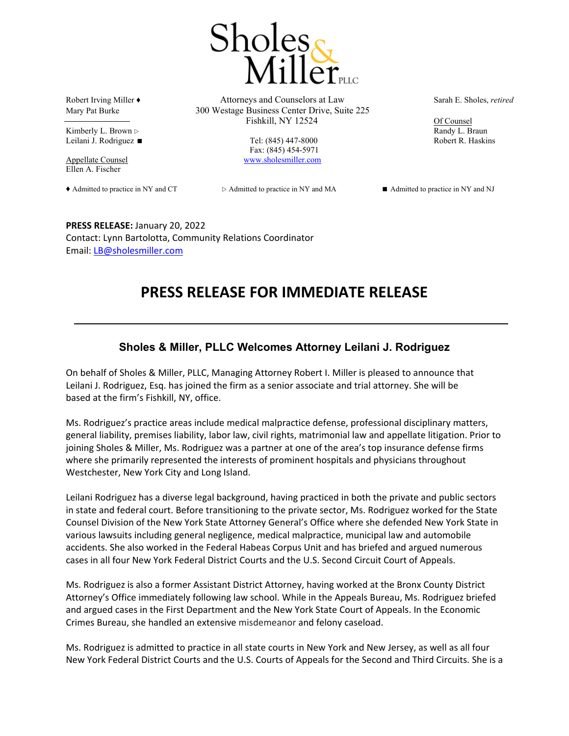

Kimberly L. Brown  $\triangleright$  Randy L. Braun Leilani J. Rodriguez ■ Tel: (845) 447-8000 Robert R. Haskins

Ellen A. Fischer

Robert Irving Miller ♦ Attorneys and Counselors at Law Sarah E. Sholes, *retired* Mary Pat Burke 300 Westage Business Center Drive, Suite 225 Fishkill, NY 12524 Of Counsel

Fax: (845) 454-5971 Appellate Counsel www.sholesmiller.com

◆ Admitted to practice in NY and CT  $\triangleright$  Admitted to practice in NY and NJ and NJ and NJ and NJ

**PRESS RELEASE:** January 20, 2022 Contact: Lynn Bartolotta, Community Relations Coordinator Email: LB@sholesmiller.com

## **PRESS RELEASE FOR IMMEDIATE RELEASE**

## **Sholes & Miller, PLLC Welcomes Attorney Leilani J. Rodriguez**

On behalf of Sholes & Miller, PLLC, Managing Attorney Robert I. Miller is pleased to announce that Leilani J. Rodriguez, Esq. has joined the firm as a senior associate and trial attorney. She will be based at the firm's Fishkill, NY, office.

Ms. Rodriguez's practice areas include medical malpractice defense, professional disciplinary matters, general liability, premises liability, labor law, civil rights, matrimonial law and appellate litigation. Prior to joining Sholes & Miller, Ms. Rodriguez was a partner at one of the area's top insurance defense firms where she primarily represented the interests of prominent hospitals and physicians throughout Westchester, New York City and Long Island.

Leilani Rodriguez has a diverse legal background, having practiced in both the private and public sectors in state and federal court. Before transitioning to the private sector, Ms. Rodriguez worked for the State Counsel Division of the New York State Attorney General's Office where she defended New York State in various lawsuits including general negligence, medical malpractice, municipal law and automobile accidents. She also worked in the Federal Habeas Corpus Unit and has briefed and argued numerous cases in all four New York Federal District Courts and the U.S. Second Circuit Court of Appeals.

Ms. Rodriguez is also a former Assistant District Attorney, having worked at the Bronx County District Attorney's Office immediately following law school. While in the Appeals Bureau, Ms. Rodriguez briefed and argued cases in the First Department and the New York State Court of Appeals. In the Economic Crimes Bureau, she handled an extensive misdemeanor and felony caseload.

Ms. Rodriguez is admitted to practice in all state courts in New York and New Jersey, as well as all four New York Federal District Courts and the U.S. Courts of Appeals for the Second and Third Circuits. She is a